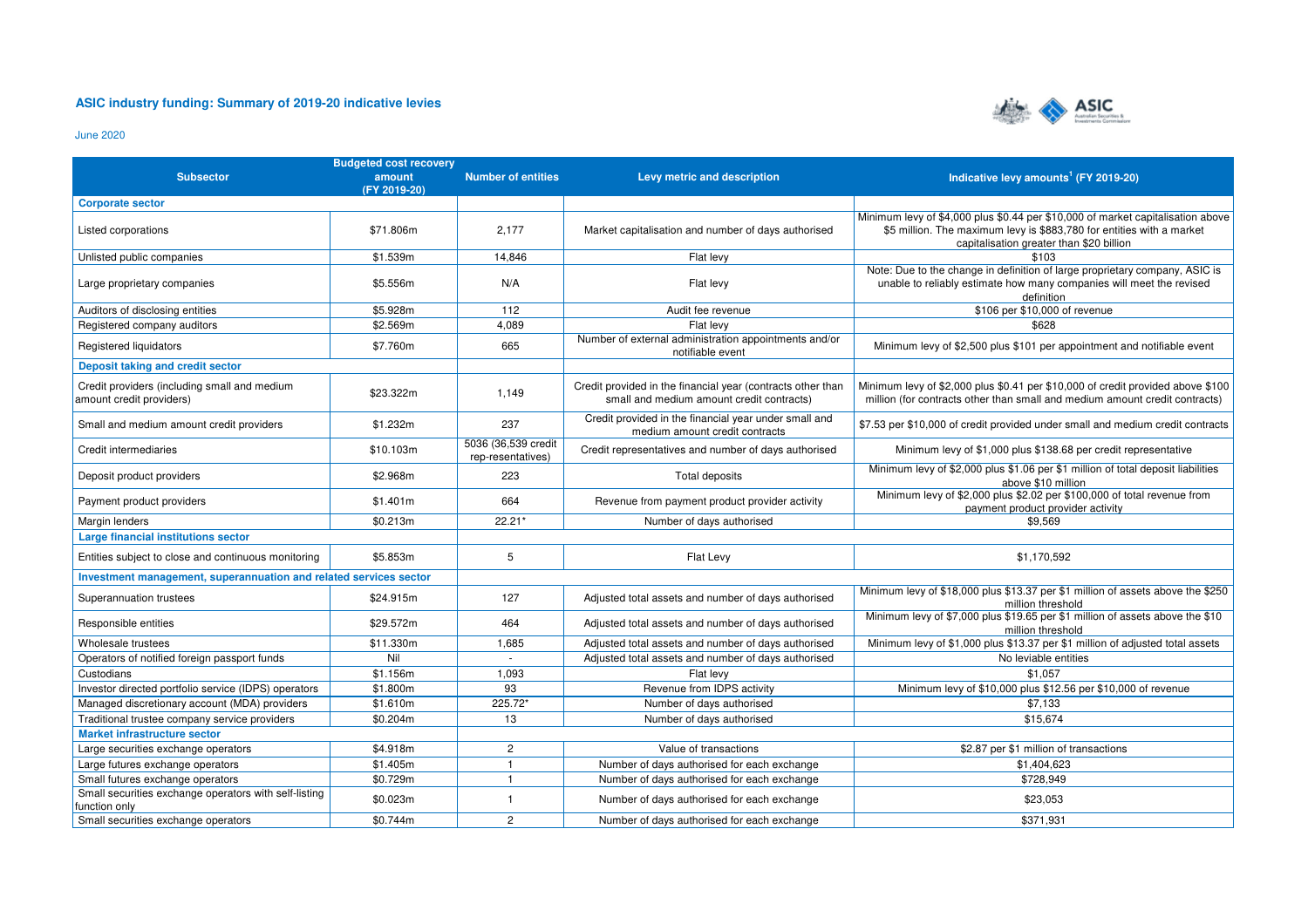## **ASIC industry funding: Summary of 2019-20 indicative levies**



June 2020

|                                                                          | <b>Budgeted cost recovery</b> |                                          |                                                                                                          |                                                                                                                                                                                                      |  |
|--------------------------------------------------------------------------|-------------------------------|------------------------------------------|----------------------------------------------------------------------------------------------------------|------------------------------------------------------------------------------------------------------------------------------------------------------------------------------------------------------|--|
| <b>Subsector</b>                                                         | amount<br>(FY 2019-20)        | <b>Number of entities</b>                | Levy metric and description                                                                              | Indicative levy amounts <sup>1</sup> (FY 2019-20)                                                                                                                                                    |  |
| <b>Corporate sector</b>                                                  |                               |                                          |                                                                                                          |                                                                                                                                                                                                      |  |
| Listed corporations                                                      | \$71.806m                     | 2,177                                    | Market capitalisation and number of days authorised                                                      | Minimum levy of \$4,000 plus \$0.44 per \$10,000 of market capitalisation above<br>\$5 million. The maximum levy is \$883,780 for entities with a market<br>capitalisation greater than \$20 billion |  |
| Unlisted public companies                                                | \$1.539m                      | 14,846                                   | Flat levy                                                                                                | \$103                                                                                                                                                                                                |  |
| Large proprietary companies                                              | \$5.556m                      | N/A                                      | Flat levy                                                                                                | Note: Due to the change in definition of large proprietary company, ASIC is<br>unable to reliably estimate how many companies will meet the revised<br>definition                                    |  |
| Auditors of disclosing entities                                          | \$5.928m                      | 112                                      | Audit fee revenue                                                                                        | \$106 per \$10,000 of revenue                                                                                                                                                                        |  |
| Registered company auditors                                              | \$2.569m                      | 4.089                                    | Flat levy                                                                                                | \$628                                                                                                                                                                                                |  |
| Registered liquidators                                                   | \$7.760m                      | 665                                      | Number of external administration appointments and/or<br>notifiable event                                | Minimum levy of \$2,500 plus \$101 per appointment and notifiable event                                                                                                                              |  |
| Deposit taking and credit sector                                         |                               |                                          |                                                                                                          |                                                                                                                                                                                                      |  |
| Credit providers (including small and medium<br>amount credit providers) | \$23.322m                     | 1,149                                    | Credit provided in the financial year (contracts other than<br>small and medium amount credit contracts) | Minimum levy of \$2,000 plus \$0.41 per \$10,000 of credit provided above \$100<br>million (for contracts other than small and medium amount credit contracts)                                       |  |
| Small and medium amount credit providers                                 | \$1.232m                      | 237                                      | Credit provided in the financial year under small and<br>medium amount credit contracts                  | \$7.53 per \$10,000 of credit provided under small and medium credit contracts                                                                                                                       |  |
| Credit intermediaries                                                    | \$10.103m                     | 5036 (36,539 credit<br>rep-resentatives) | Credit representatives and number of days authorised                                                     | Minimum levy of \$1,000 plus \$138.68 per credit representative                                                                                                                                      |  |
| Deposit product providers                                                | \$2.968m                      | 223                                      | Total deposits                                                                                           | Minimum levy of \$2,000 plus \$1.06 per \$1 million of total deposit liabilities<br>above \$10 million                                                                                               |  |
| Payment product providers                                                | \$1.401m                      | 664                                      | Revenue from payment product provider activity                                                           | Minimum levy of \$2,000 plus \$2.02 per \$100,000 of total revenue from<br>payment product provider activity                                                                                         |  |
| Margin lenders                                                           | \$0.213m                      | 22.21*                                   | Number of days authorised                                                                                | \$9.569                                                                                                                                                                                              |  |
| Large financial institutions sector                                      |                               |                                          |                                                                                                          |                                                                                                                                                                                                      |  |
| Entities subject to close and continuous monitoring                      | \$5.853m                      | 5                                        | Flat Levy                                                                                                | \$1.170.592                                                                                                                                                                                          |  |
| Investment management, superannuation and related services sector        |                               |                                          |                                                                                                          |                                                                                                                                                                                                      |  |
| Superannuation trustees                                                  | \$24.915m                     | 127                                      | Adjusted total assets and number of days authorised                                                      | Minimum levy of \$18,000 plus \$13.37 per \$1 million of assets above the \$250<br>million threshold                                                                                                 |  |
| Responsible entities                                                     | \$29.572m                     | 464                                      | Adjusted total assets and number of days authorised                                                      | Minimum levy of \$7,000 plus \$19.65 per \$1 million of assets above the \$10<br>million threshold                                                                                                   |  |
| Wholesale trustees                                                       | \$11.330m                     | 1,685                                    | Adjusted total assets and number of days authorised                                                      | Minimum levy of \$1,000 plus \$13.37 per \$1 million of adjusted total assets                                                                                                                        |  |
| Operators of notified foreign passport funds                             | Nil                           |                                          | Adjusted total assets and number of days authorised                                                      | No leviable entities                                                                                                                                                                                 |  |
| Custodians                                                               | \$1.156m                      | 1,093                                    | Flat levy                                                                                                | \$1.057                                                                                                                                                                                              |  |
| Investor directed portfolio service (IDPS) operators                     | \$1.800m                      | 93                                       | Revenue from IDPS activity                                                                               | Minimum levy of \$10,000 plus \$12.56 per \$10,000 of revenue                                                                                                                                        |  |
| Managed discretionary account (MDA) providers                            | \$1.610m                      | 225.72*                                  | Number of days authorised                                                                                | \$7,133                                                                                                                                                                                              |  |
| Traditional trustee company service providers                            | \$0.204m                      | 13                                       | Number of days authorised                                                                                | \$15,674                                                                                                                                                                                             |  |
| <b>Market infrastructure sector</b>                                      |                               |                                          |                                                                                                          |                                                                                                                                                                                                      |  |
| Large securities exchange operators                                      | \$4.918m                      | $\overline{c}$                           | Value of transactions                                                                                    | \$2.87 per \$1 million of transactions                                                                                                                                                               |  |
| Large futures exchange operators                                         | \$1.405m                      | $\overline{1}$                           | Number of days authorised for each exchange                                                              | \$1,404,623                                                                                                                                                                                          |  |
| Small futures exchange operators                                         | \$0.729m                      | $\overline{1}$                           | Number of days authorised for each exchange                                                              | \$728.949                                                                                                                                                                                            |  |
| Small securities exchange operators with self-listing<br>function only   | \$0.023m                      | $\mathbf{1}$                             | Number of days authorised for each exchange                                                              | \$23,053                                                                                                                                                                                             |  |
| Small securities exchange operators                                      | \$0.744m                      | $\overline{2}$                           | Number of days authorised for each exchange                                                              | \$371,931                                                                                                                                                                                            |  |